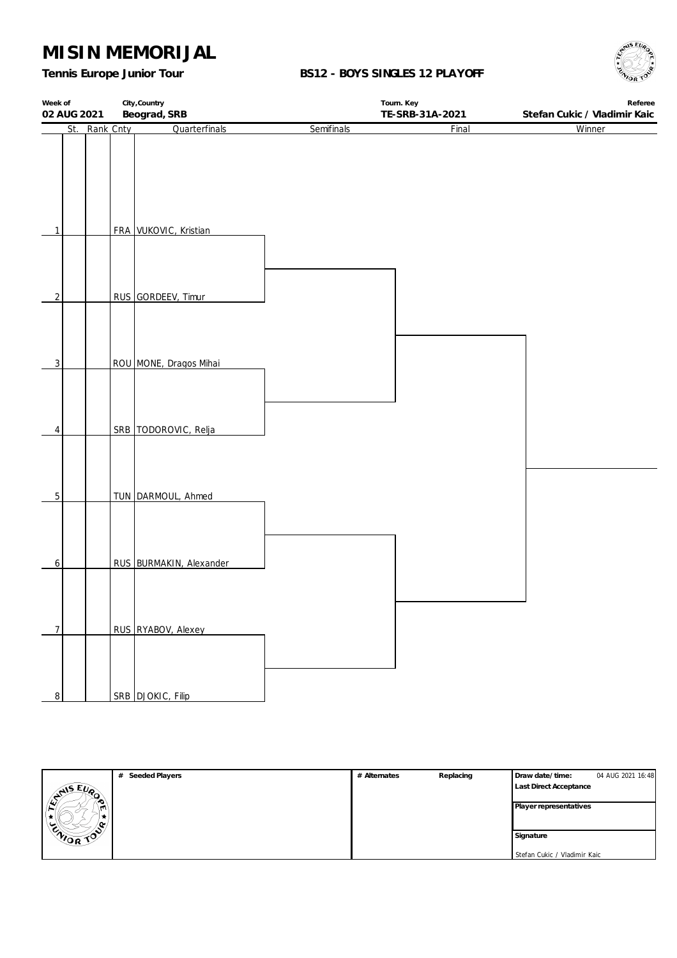*Tennis Europe Junior Tour*

### **BS12 - BOYS SINGLES 12 PLAYOFF**



| Week of        | City, Country<br>Beograd, SRB<br>02 AUG 2021 |                         |            | Tourn. Key<br>TE-SRB-31A-2021 | Referee<br>Stefan Cukic / Vladimir Kaic |  |
|----------------|----------------------------------------------|-------------------------|------------|-------------------------------|-----------------------------------------|--|
| St.            | Rank Cnty                                    | Quarterfinals           | Semifinals | Final                         | Winner                                  |  |
|                |                                              |                         |            |                               |                                         |  |
| $\mathbf{1}$   |                                              | FRA VUKOVIC, Kristian   |            |                               |                                         |  |
|                |                                              |                         |            |                               |                                         |  |
| $\overline{2}$ |                                              | RUS GORDEEV, Timur      |            |                               |                                         |  |
| $\overline{3}$ |                                              | ROU MONE, Dragos Mihai  |            |                               |                                         |  |
| 4              |                                              | SRB TODOROVIC, Relja    |            |                               |                                         |  |
| $\overline{5}$ |                                              | TUN DARMOUL, Ahmed      |            |                               |                                         |  |
| 6              |                                              | RUS BURMAKIN, Alexander |            |                               |                                         |  |
| $\overline{7}$ |                                              | RUS RYABOV, Alexey      |            |                               |                                         |  |
| $\overline{8}$ |                                              | SRB DJOKIC, Filip       |            |                               |                                         |  |

|                | # Seeded Players | # Alternates | Replacing | Draw date/time:               | 04 AUG 2021 16:48 |
|----------------|------------------|--------------|-----------|-------------------------------|-------------------|
| <b>SAISEUR</b> |                  |              |           | <b>Last Direct Acceptance</b> |                   |
|                |                  |              |           | Player representatives        |                   |
| m              |                  |              |           |                               |                   |
|                |                  |              |           |                               |                   |
| ENIOR TOP      |                  |              |           | Signature                     |                   |
|                |                  |              |           | Stefan Cukic / Vladimir Kaic  |                   |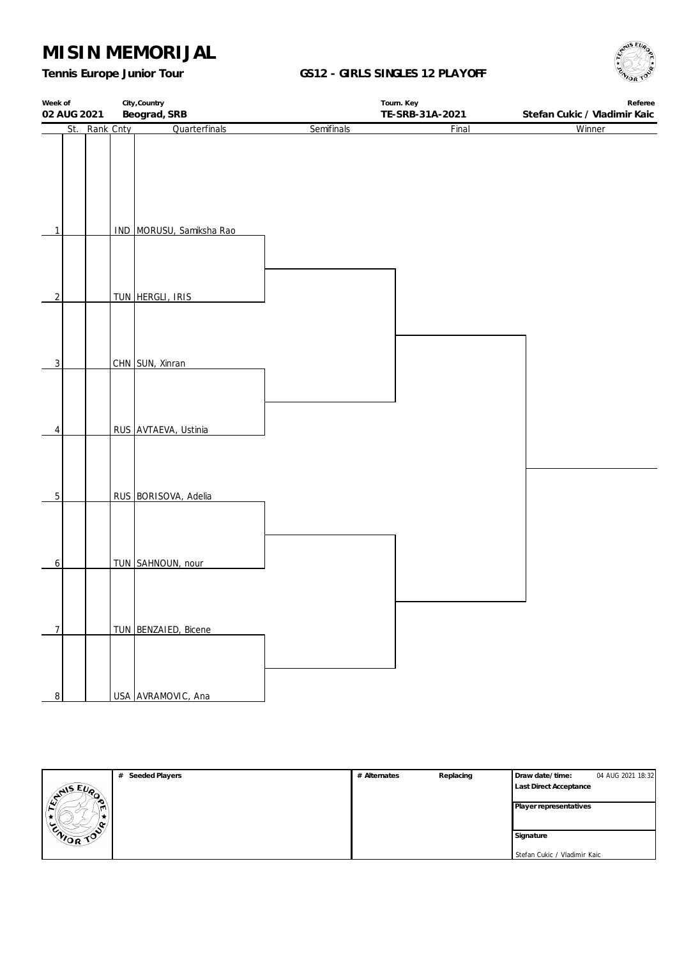*Tennis Europe Junior Tour*

#### **GS12 - GIRLS SINGLES 12 PLAYOFF**



| Week of        | City, Country |                          |            | Tourn. Key      | Referee                      |  |  |
|----------------|---------------|--------------------------|------------|-----------------|------------------------------|--|--|
| 02 AUG 2021    |               | Beograd, SRB             |            | TE-SRB-31A-2021 | Stefan Cukic / Vladimir Kaic |  |  |
| St.            | Rank Cnty     | Quarterfinals            | Semifinals | Final           | Winner                       |  |  |
|                |               |                          |            |                 |                              |  |  |
|                |               |                          |            |                 |                              |  |  |
|                |               |                          |            |                 |                              |  |  |
|                |               |                          |            |                 |                              |  |  |
|                |               |                          |            |                 |                              |  |  |
|                |               |                          |            |                 |                              |  |  |
| $\mathbf{1}$   |               |                          |            |                 |                              |  |  |
|                |               | IND MORUSU, Samiksha Rao |            |                 |                              |  |  |
|                |               |                          |            |                 |                              |  |  |
|                |               |                          |            |                 |                              |  |  |
|                |               |                          |            |                 |                              |  |  |
| $\overline{2}$ |               | TUN HERGLI, IRIS         |            |                 |                              |  |  |
|                |               |                          |            |                 |                              |  |  |
|                |               |                          |            |                 |                              |  |  |
|                |               |                          |            |                 |                              |  |  |
|                |               |                          |            |                 |                              |  |  |
| $\overline{3}$ |               | CHN SUN, Xinran          |            |                 |                              |  |  |
|                |               |                          |            |                 |                              |  |  |
|                |               |                          |            |                 |                              |  |  |
|                |               |                          |            |                 |                              |  |  |
|                |               |                          |            |                 |                              |  |  |
| 4              |               | RUS AVTAEVA, Ustinia     |            |                 |                              |  |  |
|                |               |                          |            |                 |                              |  |  |
|                |               |                          |            |                 |                              |  |  |
|                |               |                          |            |                 |                              |  |  |
|                |               |                          |            |                 |                              |  |  |
| $\overline{5}$ |               | RUS BORISOVA, Adelia     |            |                 |                              |  |  |
|                |               |                          |            |                 |                              |  |  |
|                |               |                          |            |                 |                              |  |  |
|                |               |                          |            |                 |                              |  |  |
|                |               |                          |            |                 |                              |  |  |
| 6              |               | TUN SAHNOUN, nour        |            |                 |                              |  |  |
|                |               |                          |            |                 |                              |  |  |
|                |               |                          |            |                 |                              |  |  |
|                |               |                          |            |                 |                              |  |  |
|                |               |                          |            |                 |                              |  |  |
| $\overline{7}$ |               | TUN BENZAIED, Bicene     |            |                 |                              |  |  |
|                |               |                          |            |                 |                              |  |  |
|                |               |                          |            |                 |                              |  |  |
|                |               |                          |            |                 |                              |  |  |
|                |               |                          |            |                 |                              |  |  |
| $\overline{8}$ |               | USA AVRAMOVIC, Ana       |            |                 |                              |  |  |

|                | # Seeded Players | # Alternates | Replacing | Draw date/time:               | 04 AUG 2021 18:32 |
|----------------|------------------|--------------|-----------|-------------------------------|-------------------|
| <b>SANSEUP</b> |                  |              |           | <b>Last Direct Acceptance</b> |                   |
|                |                  |              |           | Player representatives        |                   |
|                |                  |              |           |                               |                   |
|                |                  |              |           |                               |                   |
| ENIOR TOP      |                  |              |           | Signature                     |                   |
|                |                  |              |           | Stefan Cukic / Vladimir Kaic  |                   |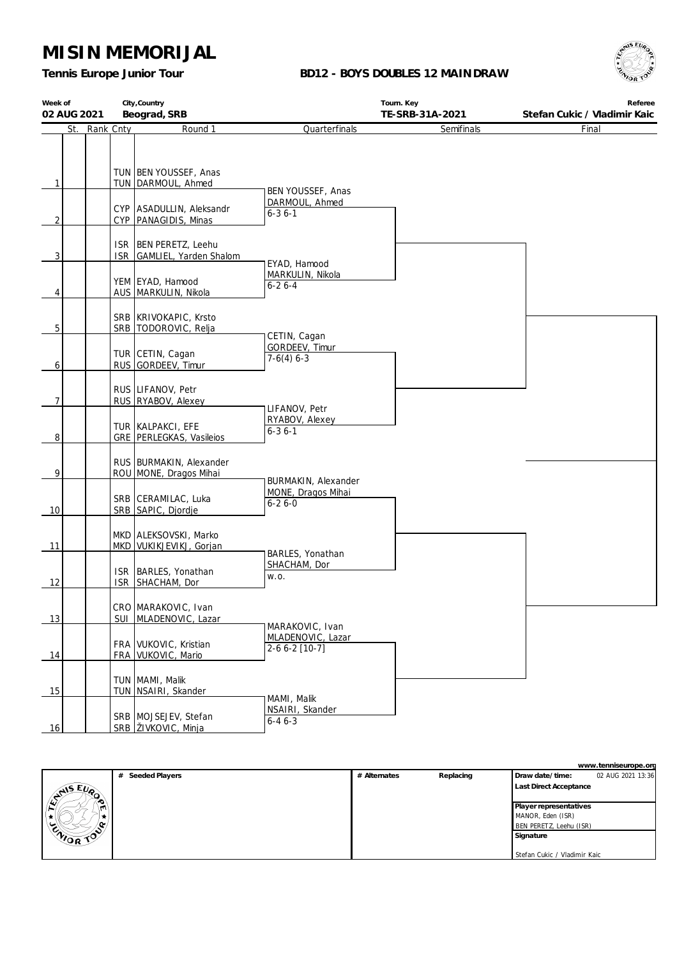*Tennis Europe Junior Tour*

#### **BD12 - BOYS DOUBLES 12 MAINDRAW**



| Week of<br>02 AUG 2021         |            | City, Country<br>Beograd, SRB                                                                       |                                                     | Tourn. Key<br>TE-SRB-31A-2021 | Referee<br>Stefan Cukic / Vladimir Kaic |
|--------------------------------|------------|-----------------------------------------------------------------------------------------------------|-----------------------------------------------------|-------------------------------|-----------------------------------------|
| St.                            | Rank Cnty  | Round 1                                                                                             | Quarterfinals                                       | Semifinals                    | Final                                   |
| $\mathbf{1}$<br>$\overline{2}$ |            | TUN BEN YOUSSEF, Anas<br>TUN   DARMOUL, Ahmed<br>CYP ASADULLIN, Aleksandr<br>CYP   PANAGIDIS, Minas | BEN YOUSSEF, Anas<br>DARMOUL, Ahmed<br>$6 - 36 - 1$ |                               |                                         |
| 3                              |            | ISR   BEN PERETZ, Leehu<br>ISR GAMLIEL, Yarden Shalom                                               | EYAD, Hamood                                        |                               |                                         |
| 4                              |            | YEM EYAD, Hamood<br>AUS   MARKULIN, Nikola                                                          | MARKULIN, Nikola<br>$6 - 26 - 4$                    |                               |                                         |
| 5                              |            | SRB   KRIVOKAPIC, Krsto<br>SRB   TODOROVIC, Relja                                                   | CETIN, Cagan                                        |                               |                                         |
| 6                              |            | TUR CETIN, Cagan<br>RUS GORDEEV, Timur                                                              | GORDEEV, Timur<br>$7-6(4)$ 6-3                      |                               |                                         |
| $\overline{7}$                 |            | RUS LIFANOV, Petr<br>RUS RYABOV, Alexey                                                             | LIFANOV, Petr                                       |                               |                                         |
| $\overline{8}$                 |            | TUR   KALPAKCI, EFE<br>GRE   PERLEGKAS, Vasileios                                                   | RYABOV, Alexey<br>$6 - 36 - 1$                      |                               |                                         |
| 9                              |            | RUS   BURMAKIN, Alexander<br>ROU MONE, Dragos Mihai                                                 | BURMAKIN, Alexander                                 |                               |                                         |
| 10                             |            | SRB   CERAMILAC, Luka<br>SRB SAPIC, Djordje                                                         | MONE, Dragos Mihai<br>$6 - 26 - 0$                  |                               |                                         |
| 11                             |            | MKD   ALEKSOVSKI, Marko<br>MKD VUKIKJEVIKJ, Gorjan                                                  | BARLES, Yonathan                                    |                               |                                         |
| 12                             | <b>ISR</b> | ISR   BARLES, Yonathan<br>SHACHAM, Dor                                                              | SHACHAM, Dor<br>W.O.                                |                               |                                         |
| 13                             |            | CRO MARAKOVIC, Ivan<br>SUI   MLADENOVIC, Lazar                                                      | MARAKOVIC, Ivan                                     |                               |                                         |
| 14                             |            | FRA VUKOVIC, Kristian<br>FRA VUKOVIC, Mario                                                         | MLADENOVIC, Lazar<br>$2-66-2$ [10-7]                |                               |                                         |
| 15                             |            | TUN   MAMI, Malik<br>TUN   NSAIRI, Skander                                                          | MAMI, Malik                                         |                               |                                         |
| 16                             |            | SRB   MOJSEJEV, Stefan<br>SRB ŽIVKOVIC, Minja                                                       | NSAIRI, Skander<br>$6 - 46 - 3$                     |                               |                                         |

|                                                       |                  |              |           |                              | www.tenniseurope.org |
|-------------------------------------------------------|------------------|--------------|-----------|------------------------------|----------------------|
|                                                       | # Seeded Players | # Alternates | Replacing | Draw date/time:              | 02 AUG 2021 13:36    |
| $E_{\nu_{\Omega}}$<br>$\sqrt{\frac{2^{N+5}}{N}}$<br>∼ |                  |              |           | Last Direct Acceptance       |                      |
|                                                       |                  |              |           | Player representatives       |                      |
|                                                       |                  |              |           | MANOR, Eden (ISR)            |                      |
|                                                       |                  |              |           | BEN PERETZ, Leehu (ISR)      |                      |
| ENIOR TOP                                             |                  |              |           | Signature                    |                      |
|                                                       |                  |              |           |                              |                      |
|                                                       |                  |              |           | Stefan Cukic / Vladimir Kaic |                      |